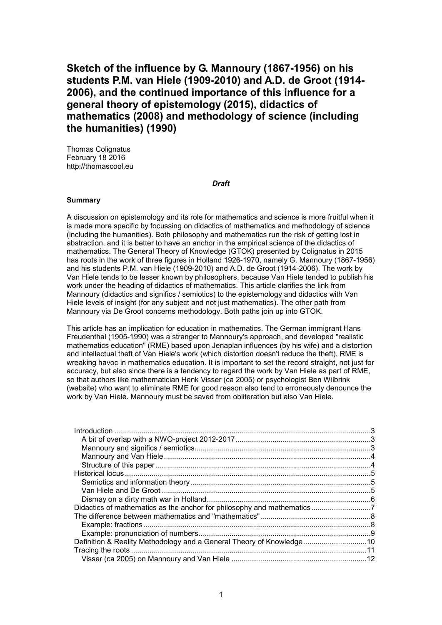**Sketch of the influence by G. Mannoury (1867-1956) on his students P.M. van Hiele (1909-2010) and A.D. de Groot (1914- 2006), and the continued importance of this influence for a general theory of epistemology (2015), didactics of mathematics (2008) and methodology of science (including the humanities) (1990)**

Thomas Colignatus February 18 2016 http://thomascool.eu

#### *Draft*

### **Summary**

A discussion on epistemology and its role for mathematics and science is more fruitful when it is made more specific by focussing on didactics of mathematics and methodology of science (including the humanities). Both philosophy and mathematics run the risk of getting lost in abstraction, and it is better to have an anchor in the empirical science of the didactics of mathematics. The General Theory of Knowledge (GTOK) presented by Colignatus in 2015 has roots in the work of three figures in Holland 1926-1970, namely G. Mannoury (1867-1956) and his students P.M. van Hiele (1909-2010) and A.D. de Groot (1914-2006). The work by Van Hiele tends to be lesser known by philosophers, because Van Hiele tended to publish his work under the heading of didactics of mathematics. This article clarifies the link from Mannoury (didactics and significs / semiotics) to the epistemology and didactics with Van Hiele levels of insight (for any subject and not just mathematics). The other path from Mannoury via De Groot concerns methodology. Both paths join up into GTOK.

This article has an implication for education in mathematics. The German immigrant Hans Freudenthal (1905-1990) was a stranger to Mannoury's approach, and developed "realistic mathematics education" (RME) based upon Jenaplan influences (by his wife) and a distortion and intellectual theft of Van Hiele's work (which distortion doesn't reduce the theft). RME is wreaking havoc in mathematics education. It is important to set the record straight, not just for accuracy, but also since there is a tendency to regard the work by Van Hiele as part of RME, so that authors like mathematician Henk Visser (ca 2005) or psychologist Ben Wilbrink (website) who want to eliminate RME for good reason also tend to erroneously denounce the work by Van Hiele. Mannoury must be saved from obliteration but also Van Hiele.

| Definition & Reality Methodology and a General Theory of Knowledge |  |
|--------------------------------------------------------------------|--|
|                                                                    |  |
|                                                                    |  |
|                                                                    |  |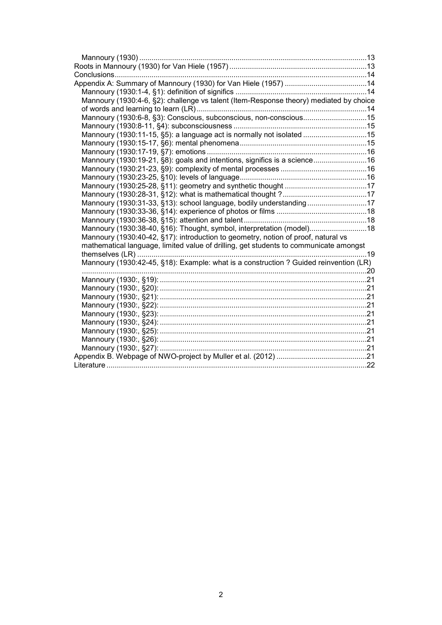| Mannoury (1930:4-6, §2): challenge vs talent (Item-Response theory) mediated by choice |  |
|----------------------------------------------------------------------------------------|--|
|                                                                                        |  |
| Mannoury (1930:6-8, §3): Conscious, subconscious, non-conscious15                      |  |
|                                                                                        |  |
| Mannoury (1930:11-15, §5): a language act is normally not isolated 15                  |  |
|                                                                                        |  |
|                                                                                        |  |
| Mannoury (1930:19-21, §8): goals and intentions, significs is a science16              |  |
|                                                                                        |  |
|                                                                                        |  |
|                                                                                        |  |
|                                                                                        |  |
| Mannoury (1930:31-33, §13): school language, bodily understanding17                    |  |
|                                                                                        |  |
|                                                                                        |  |
| Mannoury (1930:38-40, §16): Thought, symbol, interpretation (model) 18                 |  |
| Mannoury (1930:40-42, §17): introduction to geometry, notion of proof, natural vs      |  |
| mathematical language, limited value of drilling, get students to communicate amongst  |  |
|                                                                                        |  |
| Mannoury (1930:42-45, §18): Example: what is a construction ? Guided reinvention (LR)  |  |
|                                                                                        |  |
|                                                                                        |  |
|                                                                                        |  |
|                                                                                        |  |
|                                                                                        |  |
|                                                                                        |  |
|                                                                                        |  |
|                                                                                        |  |
|                                                                                        |  |
|                                                                                        |  |
|                                                                                        |  |
|                                                                                        |  |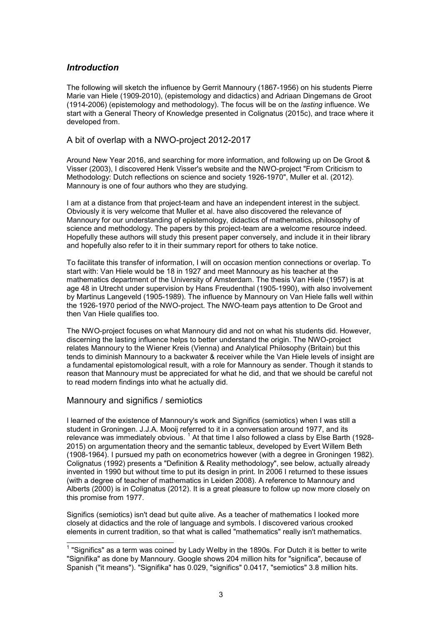## *Introduction*

The following will sketch the influence by Gerrit Mannoury (1867-1956) on his students Pierre Marie van Hiele (1909-2010), (epistemology and didactics) and Adriaan Dingemans de Groot (1914-2006) (epistemology and methodology). The focus will be on the *lasting* influence. We start with a General Theory of Knowledge presented in Colignatus (2015c), and trace where it developed from.

### A bit of overlap with a NWO-project 2012-2017

Around New Year 2016, and searching for more information, and following up on De Groot & Visser (2003), I discovered Henk Visser's website and the NWO-project "From Criticism to Methodology: Dutch reflections on science and society 1926-1970", Muller et al. (2012). Mannoury is one of four authors who they are studying.

I am at a distance from that project-team and have an independent interest in the subject. Obviously it is very welcome that Muller et al. have also discovered the relevance of Mannoury for our understanding of epistemology, didactics of mathematics, philosophy of science and methodology. The papers by this project-team are a welcome resource indeed. Hopefully these authors will study this present paper conversely, and include it in their library and hopefully also refer to it in their summary report for others to take notice.

To facilitate this transfer of information, I will on occasion mention connections or overlap. To start with: Van Hiele would be 18 in 1927 and meet Mannoury as his teacher at the mathematics department of the University of Amsterdam. The thesis Van Hiele (1957) is at age 48 in Utrecht under supervision by Hans Freudenthal (1905-1990), with also involvement by Martinus Langeveld (1905-1989). The influence by Mannoury on Van Hiele falls well within the 1926-1970 period of the NWO-project. The NWO-team pays attention to De Groot and then Van Hiele qualifies too.

The NWO-project focuses on what Mannoury did and not on what his students did. However, discerning the lasting influence helps to better understand the origin. The NWO-project relates Mannoury to the Wiener Kreis (Vienna) and Analytical Philosophy (Britain) but this tends to diminish Mannoury to a backwater & receiver while the Van Hiele levels of insight are a fundamental epistomological result, with a role for Mannoury as sender. Though it stands to reason that Mannoury must be appreciated for what he did, and that we should be careful not to read modern findings into what he actually did.

### Mannoury and significs / semiotics

I learned of the existence of Mannoury's work and Significs (semiotics) when I was still a student in Groningen. J.J.A. Mooij referred to it in a conversation around 1977, and its relevance was immediately obvious. <sup>1</sup> At that time I also followed a class by Else Barth (1928-2015) on argumentation theory and the semantic tableux, developed by Evert Willem Beth (1908-1964). I pursued my path on econometrics however (with a degree in Groningen 1982). Colignatus (1992) presents a "Definition & Reality methodology", see below, actually already invented in 1990 but without time to put its design in print. In 2006 I returned to these issues (with a degree of teacher of mathematics in Leiden 2008). A reference to Mannoury and Alberts (2000) is in Colignatus (2012). It is a great pleasure to follow up now more closely on this promise from 1977.

Significs (semiotics) isn't dead but quite alive. As a teacher of mathematics I looked more closely at didactics and the role of language and symbols. I discovered various crooked elements in current tradition, so that what is called "mathematics" really isn't mathematics.

 1 "Significs" as a term was coined by Lady Welby in the 1890s. For Dutch it is better to write "Signifika" as done by Mannoury. Google shows 204 million hits for "significa", because of Spanish ("it means"). "Signifika" has 0.029, "significs" 0.0417, "semiotics" 3.8 million hits.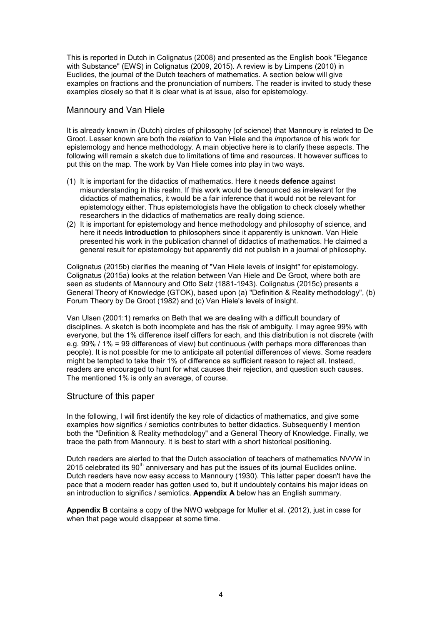This is reported in Dutch in Colignatus (2008) and presented as the English book "Elegance with Substance" (EWS) in Colignatus (2009, 2015). A review is by Limpens (2010) in Euclides, the journal of the Dutch teachers of mathematics. A section below will give examples on fractions and the pronunciation of numbers. The reader is invited to study these examples closely so that it is clear what is at issue, also for epistemology.

### Mannoury and Van Hiele

It is already known in (Dutch) circles of philosophy (of science) that Mannoury is related to De Groot. Lesser known are both the *relation* to Van Hiele and the *importance* of his work for epistemology and hence methodology. A main objective here is to clarify these aspects. The following will remain a sketch due to limitations of time and resources. It however suffices to put this on the map. The work by Van Hiele comes into play in two ways.

- (1) It is important for the didactics of mathematics. Here it needs **defence** against misunderstanding in this realm. If this work would be denounced as irrelevant for the didactics of mathematics, it would be a fair inference that it would not be relevant for epistemology either. Thus epistemologists have the obligation to check closely whether researchers in the didactics of mathematics are really doing science.
- (2) It is important for epistemology and hence methodology and philosophy of science, and here it needs **introduction** to philosophers since it apparently is unknown. Van Hiele presented his work in the publication channel of didactics of mathematics. He claimed a general result for epistemology but apparently did not publish in a journal of philosophy.

Colignatus (2015b) clarifies the meaning of "Van Hiele levels of insight" for epistemology. Colignatus (2015a) looks at the relation between Van Hiele and De Groot, where both are seen as students of Mannoury and Otto Selz (1881-1943). Colignatus (2015c) presents a General Theory of Knowledge (GTOK), based upon (a) "Definition & Reality methodology", (b) Forum Theory by De Groot (1982) and (c) Van Hiele's levels of insight.

Van Ulsen (2001:1) remarks on Beth that we are dealing with a difficult boundary of disciplines. A sketch is both incomplete and has the risk of ambiguity. I may agree 99% with everyone, but the 1% difference itself differs for each, and this distribution is not discrete (with e.g. 99% / 1% = 99 differences of view) but continuous (with perhaps more differences than people). It is not possible for me to anticipate all potential differences of views. Some readers might be tempted to take their 1% of difference as sufficient reason to reject all. Instead, readers are encouraged to hunt for what causes their rejection, and question such causes. The mentioned 1% is only an average, of course.

### Structure of this paper

In the following, I will first identify the key role of didactics of mathematics, and give some examples how significs / semiotics contributes to better didactics. Subsequently I mention both the "Definition & Reality methodology" and a General Theory of Knowledge. Finally, we trace the path from Mannoury. It is best to start with a short historical positioning.

Dutch readers are alerted to that the Dutch association of teachers of mathematics NVVW in 2015 celebrated its  $90<sup>th</sup>$  anniversary and has put the issues of its journal Euclides online. Dutch readers have now easy access to Mannoury (1930). This latter paper doesn't have the pace that a modern reader has gotten used to, but it undoubtely contains his major ideas on an introduction to significs / semiotics. **Appendix A** below has an English summary.

**Appendix B** contains a copy of the NWO webpage for Muller et al. (2012), just in case for when that page would disappear at some time.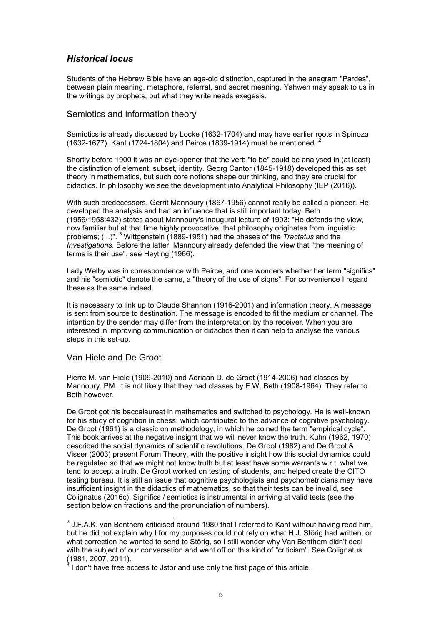## *Historical locus*

Students of the Hebrew Bible have an age-old distinction, captured in the anagram "Pardes", between plain meaning, metaphore, referral, and secret meaning. Yahweh may speak to us in the writings by prophets, but what they write needs exegesis.

### Semiotics and information theory

Semiotics is already discussed by Locke (1632-1704) and may have earlier roots in Spinoza (1632-1677). Kant (1724-1804) and Peirce (1839-1914) must be mentioned. <sup>2</sup>

Shortly before 1900 it was an eye-opener that the verb "to be" could be analysed in (at least) the distinction of element, subset, identity. Georg Cantor (1845-1918) developed this as set theory in mathematics, but such core notions shape our thinking, and they are crucial for didactics. In philosophy we see the development into Analytical Philosophy (IEP (2016)).

With such predecessors, Gerrit Mannoury (1867-1956) cannot really be called a pioneer. He developed the analysis and had an influence that is still important today. Beth (1956/1958:432) states about Mannoury's inaugural lecture of 1903: "He defends the view, now familiar but at that time highly provocative, that philosophy originates from linguistic problems; (...)". <sup>3</sup> Wittgenstein (1889-1951) had the phases of the *Tractatus* and the *Investigations*. Before the latter, Mannoury already defended the view that "the meaning of terms is their use", see Heyting (1966).

Lady Welby was in correspondence with Peirce, and one wonders whether her term "significs" and his "semiotic" denote the same, a "theory of the use of signs". For convenience I regard these as the same indeed.

It is necessary to link up to Claude Shannon (1916-2001) and information theory. A message is sent from source to destination. The message is encoded to fit the medium or channel. The intention by the sender may differ from the interpretation by the receiver. When you are interested in improving communication or didactics then it can help to analyse the various steps in this set-up.

### Van Hiele and De Groot

Pierre M. van Hiele (1909-2010) and Adriaan D. de Groot (1914-2006) had classes by Mannoury. PM. It is not likely that they had classes by E.W. Beth (1908-1964). They refer to Beth however.

De Groot got his baccalaureat in mathematics and switched to psychology. He is well-known for his study of cognition in chess, which contributed to the advance of cognitive psychology. De Groot (1961) is a classic on methodology, in which he coined the term "empirical cycle". This book arrives at the negative insight that we will never know the truth. Kuhn (1962, 1970) described the social dynamics of scientific revolutions. De Groot (1982) and De Groot & Visser (2003) present Forum Theory, with the positive insight how this social dynamics could be regulated so that we might not know truth but at least have some warrants w.r.t. what we tend to accept a truth. De Groot worked on testing of students, and helped create the CITO testing bureau. It is still an issue that cognitive psychologists and psychometricians may have insufficient insight in the didactics of mathematics, so that their tests can be invalid, see Colignatus (2016c). Significs / semiotics is instrumental in arriving at valid tests (see the section below on fractions and the pronunciation of numbers).

 2 J.F.A.K. van Benthem criticised around 1980 that I referred to Kant without having read him, but he did not explain why I for my purposes could not rely on what H.J. Störig had written, or what correction he wanted to send to Störig, so I still wonder why Van Benthem didn't deal with the subject of our conversation and went off on this kind of "criticism". See Colignatus (1981, 2007, 2011). 3

I don't have free access to Jstor and use only the first page of this article.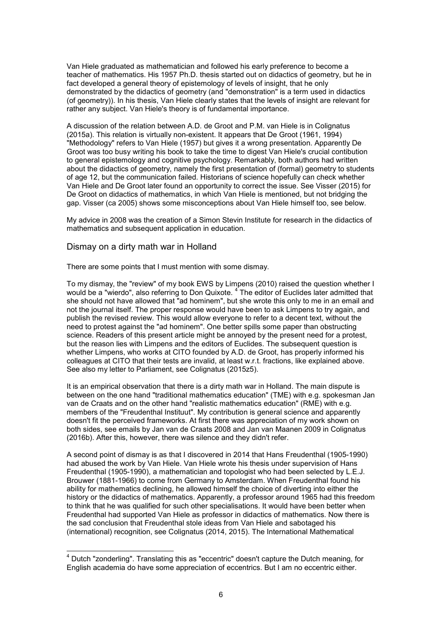Van Hiele graduated as mathematician and followed his early preference to become a teacher of mathematics. His 1957 Ph.D. thesis started out on didactics of geometry, but he in fact developed a general theory of epistemology of levels of insight, that he only demonstrated by the didactics of geometry (and "demonstration" is a term used in didactics (of geometry)). In his thesis, Van Hiele clearly states that the levels of insight are relevant for rather any subject. Van Hiele's theory is of fundamental importance.

A discussion of the relation between A.D. de Groot and P.M. van Hiele is in Colignatus (2015a). This relation is virtually non-existent. It appears that De Groot (1961, 1994) "Methodology" refers to Van Hiele (1957) but gives it a wrong presentation. Apparently De Groot was too busy writing his book to take the time to digest Van Hiele's crucial contibution to general epistemology and cognitive psychology. Remarkably, both authors had written about the didactics of geometry, namely the first presentation of (formal) geometry to students of age 12, but the communication failed. Historians of science hopefully can check whether Van Hiele and De Groot later found an opportunity to correct the issue. See Visser (2015) for De Groot on didactics of mathematics, in which Van Hiele is mentioned, but not bridging the gap. Visser (ca 2005) shows some misconceptions about Van Hiele himself too, see below.

My advice in 2008 was the creation of a Simon Stevin Institute for research in the didactics of mathematics and subsequent application in education.

#### Dismay on a dirty math war in Holland

There are some points that I must mention with some dismay.

To my dismay, the "review" of my book EWS by Limpens (2010) raised the question whether I would be a "wierdo", also referring to Don Quixote. <sup>4</sup> The editor of Euclides later admitted that she should not have allowed that "ad hominem", but she wrote this only to me in an email and not the journal itself. The proper response would have been to ask Limpens to try again, and publish the revised review. This would allow everyone to refer to a decent text, without the need to protest against the "ad hominem". One better spills some paper than obstructing science. Readers of this present article might be annoyed by the present need for a protest, but the reason lies with Limpens and the editors of Euclides. The subsequent question is whether Limpens, who works at CITO founded by A.D. de Groot, has properly informed his colleagues at CITO that their tests are invalid, at least w.r.t. fractions, like explained above. See also my letter to Parliament, see Colignatus (2015z5).

It is an empirical observation that there is a dirty math war in Holland. The main dispute is between on the one hand "traditional mathematics education" (TME) with e.g. spokesman Jan van de Craats and on the other hand "realistic mathematics education" (RME) with e.g. members of the "Freudenthal Instituut". My contribution is general science and apparently doesn't fit the perceived frameworks. At first there was appreciation of my work shown on both sides, see emails by Jan van de Craats 2008 and Jan van Maanen 2009 in Colignatus (2016b). After this, however, there was silence and they didn't refer.

A second point of dismay is as that I discovered in 2014 that Hans Freudenthal (1905-1990) had abused the work by Van Hiele. Van Hiele wrote his thesis under supervision of Hans Freudenthal (1905-1990), a mathematician and topologist who had been selected by L.E.J. Brouwer (1881-1966) to come from Germany to Amsterdam. When Freudenthal found his ability for mathematics declining, he allowed himself the choice of diverting into either the history or the didactics of mathematics. Apparently, a professor around 1965 had this freedom to think that he was qualified for such other specialisations. It would have been better when Freudenthal had supported Van Hiele as professor in didactics of mathematics. Now there is the sad conclusion that Freudenthal stole ideas from Van Hiele and sabotaged his (international) recognition, see Colignatus (2014, 2015). The International Mathematical

 4 Dutch "zonderling". Translating this as "eccentric" doesn't capture the Dutch meaning, for English academia do have some appreciation of eccentrics. But I am no eccentric either.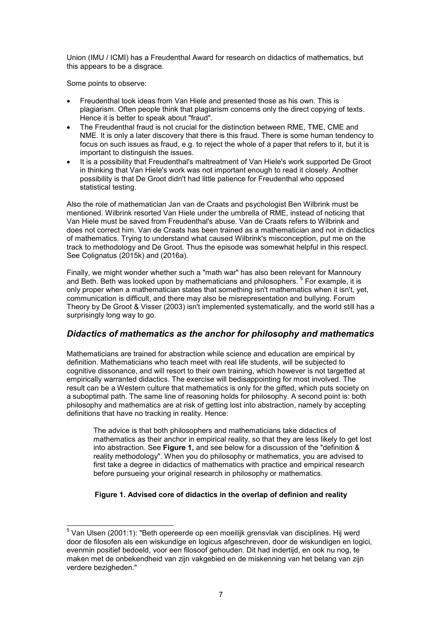Union (IMU / ICMI) has a Freudenthal Award for research on didactics of mathematics, but this appears to be a disgrace.

Some points to observe:

- Freudenthal took ideas from Van Hiele and presented those as his own. This is plagiarism. Often people think that plagiarism concerns only the direct copying of texts. Hence it is better to speak about "fraud".
- The Freudenthal fraud is not crucial for the distinction between RME, TME, CME and NME. It is only a later discovery that there is this fraud. There is some human tendency to focus on such issues as fraud, e.g. to reject the whole of a paper that refers to it, but it is important to distinguish the issues.
- It is a possibility that Freudenthal's maltreatment of Van Hiele's work supported De Groot in thinking that Van Hiele's work was not important enough to read it closely. Another possibility is that De Groot didn't had little patience for Freudenthal who opposed statistical testing.

Also the role of mathematician Jan van de Craats and psychologist Ben Wilbrink must be mentioned. Wilbrink resorted Van Hiele under the umbrella of RME, instead of noticing that Van Hiele must be saved from Freudenthal's abuse. Van de Craats refers to Wilbrink and does not correct him. Van de Craats has been trained as a mathematician and not in didactics of mathematics. Trying to understand what caused Wilbrink's misconception, put me on the track to methodology and De Groot. Thus the episode was somewhat helpful in this respect. See Colignatus (2015k) and (2016a).

Finally, we might wonder whether such a "math war" has also been relevant for Mannoury and Beth. Beth was looked upon by mathematicians and philosophers. <sup>5</sup> For example, it is only proper when a mathematician states that something isn't mathematics when it isn't, yet, communication is difficult, and there may also be misrepresentation and bullying. Forum Theory by De Groot & Visser (2003) isn't implemented systematically, and the world still has a surprisingly long way to go.

## *Didactics of mathematics as the anchor for philosophy and mathematics*

Mathematicians are trained for abstraction while science and education are empirical by definition. Mathematicians who teach meet with real life students, will be subjected to cognitive dissonance, and will resort to their own training, which however is not targetted at empirically warranted didactics. The exercise will bedisappointing for most involved. The result can be a Western culture that mathematics is only for the gifted, which puts society on a suboptimal path. The same line of reasoning holds for philosophy. A second point is: both philosophy and mathematics are at risk of getting lost into abstraction, namely by accepting definitions that have no tracking in reality. Hence:

The advice is that both philosophers and mathematicians take didactics of mathematics as their anchor in empirical reality, so that they are less likely to get lost into abstraction. See **Figure 1,** and see below for a discussion of the "definition & reality methodology". When you do philosophy or mathematics, you are advised to first take a degree in didactics of mathematics with practice and empirical research before pursueing your original research in philosophy or mathematics.

## **Figure 1. Advised core of didactics in the overlap of definion and reality**

\_\_\_\_\_\_\_\_\_\_\_\_\_\_\_\_\_\_\_\_\_\_\_\_\_\_\_\_\_\_\_\_\_\_<br><sup>5</sup> Van Ulsen (2001:1): "Beth opereerde op een moeilijk grensvlak van disciplines. Hij werd door de filosofen als een wiskundige en logicus afgeschreven, door de wiskundigen en logici, evenmin positief bedoeld, voor een filosoof gehouden. Dit had indertijd, en ook nu nog, te maken met de onbekendheid van zijn vakgebied en de miskenning van het belang van zijn verdere bezigheden."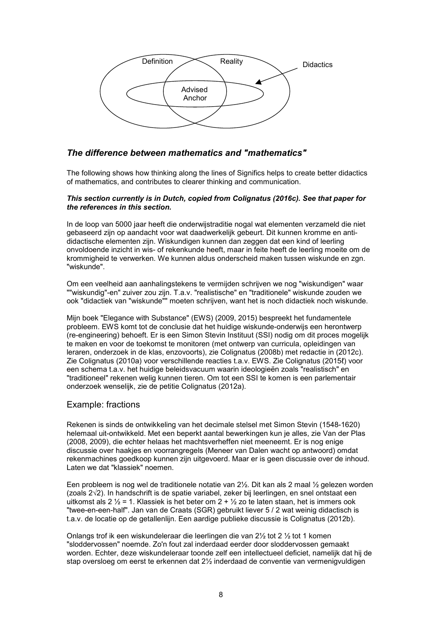

## *The difference between mathematics and "mathematics"*

The following shows how thinking along the lines of Significs helps to create better didactics of mathematics, and contributes to clearer thinking and communication.

#### *This section currently is in Dutch, copied from Colignatus (2016c). See that paper for the references in this section.*

In de loop van 5000 jaar heeft die onderwijstraditie nogal wat elementen verzameld die niet gebaseerd zijn op aandacht voor wat daadwerkelijk gebeurt. Dit kunnen kromme en antididactische elementen zijn. Wiskundigen kunnen dan zeggen dat een kind of leerling onvoldoende inzicht in wis- of rekenkunde heeft, maar in feite heeft de leerling moeite om de krommigheid te verwerken. We kunnen aldus onderscheid maken tussen wiskunde en zgn. "wiskunde".

Om een veelheid aan aanhalingstekens te vermijden schrijven we nog "wiskundigen" waar ""wiskundig"-en" zuiver zou zijn. T.a.v. "realistische" en "traditionele" wiskunde zouden we ook "didactiek van "wiskunde"" moeten schrijven, want het is noch didactiek noch wiskunde.

Mijn boek "Elegance with Substance" (EWS) (2009, 2015) bespreekt het fundamentele probleem. EWS komt tot de conclusie dat het huidige wiskunde-onderwijs een herontwerp (re-engineering) behoeft. Er is een Simon Stevin Instituut (SSI) nodig om dit proces mogelijk te maken en voor de toekomst te monitoren (met ontwerp van curricula, opleidingen van leraren, onderzoek in de klas, enzovoorts), zie Colignatus (2008b) met redactie in (2012c). Zie Colignatus (2010a) voor verschillende reacties t.a.v. EWS. Zie Colignatus (2015ℓ) voor een schema t.a.v. het huidige beleidsvacuum waarin ideologieën zoals "realistisch" en "traditioneel" rekenen welig kunnen tieren. Om tot een SSI te komen is een parlementair onderzoek wenselijk, zie de petitie Colignatus (2012a).

### Example: fractions

Rekenen is sinds de ontwikkeling van het decimale stelsel met Simon Stevin (1548-1620) helemaal uit-ontwikkeld. Met een beperkt aantal bewerkingen kun je alles, zie Van der Plas (2008, 2009), die echter helaas het machtsverheffen niet meeneemt. Er is nog enige discussie over haakjes en voorrangregels (Meneer van Dalen wacht op antwoord) omdat rekenmachines goedkoop kunnen zijn uitgevoerd. Maar er is geen discussie over de inhoud. Laten we dat "klassiek" noemen.

Een probleem is nog wel de traditionele notatie van 2½. Dit kan als 2 maal ½ gelezen worden (zoals 2√2). In handschrift is de spatie variabel, zeker bij leerlingen, en snel ontstaat een uitkomst als 2  $\frac{1}{2}$  = 1. Klassiek is het beter om 2 +  $\frac{1}{2}$  zo te laten staan, het is immers ook "twee-en-een-half". Jan van de Craats (SGR) gebruikt liever 5 / 2 wat weinig didactisch is t.a.v. de locatie op de getallenlijn. Een aardige publieke discussie is Colignatus (2012b).

Onlangs trof ik een wiskundeleraar die leerlingen die van 2½ tot 2 ½ tot 1 komen "sloddervossen" noemde. Zo'n fout zal inderdaad eerder door sloddervossen gemaakt worden. Echter, deze wiskundeleraar toonde zelf een intellectueel deficiet, namelijk dat hij de stap oversloeg om eerst te erkennen dat 2½ inderdaad de conventie van vermenigvuldigen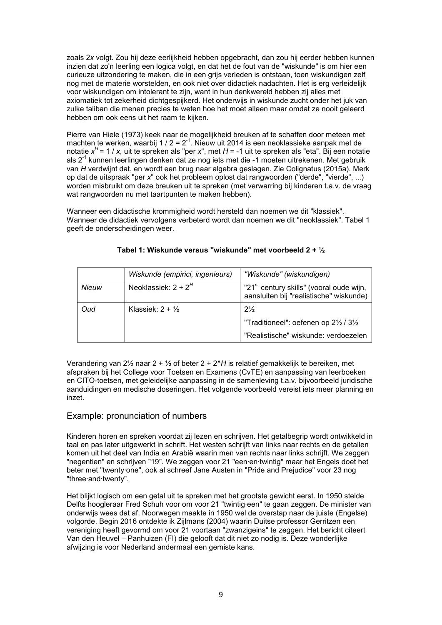zoals 2*x* volgt. Zou hij deze eerlijkheid hebben opgebracht, dan zou hij eerder hebben kunnen inzien dat zo'n leerling een logica volgt, en dat het de fout van de "wiskunde" is om hier een curieuze uitzondering te maken, die in een grijs verleden is ontstaan, toen wiskundigen zelf nog met de materie worstelden, en ook niet over didactiek nadachten. Het is erg verleidelijk voor wiskundigen om intolerant te zijn, want in hun denkwereld hebben zij alles met axiomatiek tot zekerheid dichtgespijkerd. Het onderwijs in wiskunde zucht onder het juk van zulke taliban die menen precies te weten hoe het moet alleen maar omdat ze nooit geleerd hebben om ook eens uit het raam te kijken.

Pierre van Hiele (1973) keek naar de mogelijkheid breuken af te schaffen door meteen met machten te werken, waarbij 1 / 2 =  $2^{-1}$ . Nieuw uit 2014 is een neoklassieke aanpak met de notatie *x H* = 1 / *x*, uit te spreken als "per *x*", met *H* = -1 uit te spreken als "eta". Bij een notatie als 2-1 kunnen leerlingen denken dat ze nog iets met die -1 moeten uitrekenen. Met gebruik van *H* verdwijnt dat, en wordt een brug naar algebra geslagen. Zie Colignatus (2015a). Merk op dat de uitspraak "per *x*" ook het probleem oplost dat rangwoorden ("derde", "vierde", ...) worden misbruikt om deze breuken uit te spreken (met verwarring bij kinderen t.a.v. de vraag wat rangwoorden nu met taartpunten te maken hebben).

Wanneer een didactische krommigheid wordt hersteld dan noemen we dit "klassiek". Wanneer de didactiek vervolgens verbeterd wordt dan noemen we dit "neoklassiek". Tabel 1 geeft de onderscheidingen weer.

|       | Wiskunde (empirici, ingenieurs) | "Wiskunde" (wiskundigen)                                                                        |
|-------|---------------------------------|-------------------------------------------------------------------------------------------------|
| Nieuw | Neoklassiek: $2 + 2H$           | "21 <sup>st</sup> century skills" (vooral oude wijn,<br>aansluiten bij "realistische" wiskunde) |
| Oud   | Klassiek: $2 + \frac{1}{2}$     | $2\frac{1}{2}$                                                                                  |
|       |                                 | "Traditioneel": oefenen op 21/2 / 31/3                                                          |
|       |                                 | "Realistische" wiskunde: verdoezelen                                                            |

### **Tabel 1: Wiskunde versus "wiskunde" met voorbeeld 2 + ½**

Verandering van 2½ naar 2 + ½ of beter 2 + 2^*H* is relatief gemakkelijk te bereiken, met afspraken bij het College voor Toetsen en Examens (CvTE) en aanpassing van leerboeken en CITO-toetsen, met geleidelijke aanpassing in de samenleving t.a.v. bijvoorbeeld juridische aanduidingen en medische doseringen. Het volgende voorbeeld vereist iets meer planning en inzet.

## Example: pronunciation of numbers

Kinderen horen en spreken voordat zij lezen en schrijven. Het getalbegrip wordt ontwikkeld in taal en pas later uitgewerkt in schrift. Het westen schrijft van links naar rechts en de getallen komen uit het deel van India en Arabië waarin men van rechts naar links schrijft. We zeggen "negentien" en schrijven "19". We zeggen voor 21 "een∙en∙twintig" maar het Engels doet het beter met "twenty∙one", ook al schreef Jane Austen in "Pride and Prejudice" voor 23 nog "three∙and∙twenty".

Het blijkt logisch om een getal uit te spreken met het grootste gewicht eerst. In 1950 stelde Delfts hoogleraar Fred Schuh voor om voor 21 "twintig∙een" te gaan zeggen. De minister van onderwijs wees dat af. Noorwegen maakte in 1950 wel de overstap naar de juiste (Engelse) volgorde. Begin 2016 ontdekte ik Zijlmans (2004) waarin Duitse professor Gerritzen een vereniging heeft gevormd om voor 21 voortaan "zwanzigeins" te zeggen. Het bericht citeert Van den Heuvel – Panhuizen (FI) die gelooft dat dit niet zo nodig is. Deze wonderlijke afwijzing is voor Nederland andermaal een gemiste kans.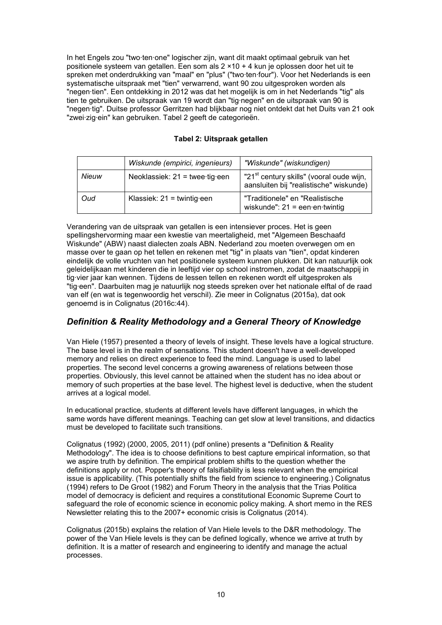In het Engels zou "two∙ten∙one" logischer zijn, want dit maakt optimaal gebruik van het positionele systeem van getallen. Een som als 2 ×10 + 4 kun je oplossen door het uit te spreken met onderdrukking van "maal" en "plus" ("two∙ten∙four"). Voor het Nederlands is een systematische uitspraak met "tien" verwarrend, want 90 zou uitgesproken worden als "negen∙tien". Een ontdekking in 2012 was dat het mogelijk is om in het Nederlands "tig" als tien te gebruiken. De uitspraak van 19 wordt dan "tig∙negen" en de uitspraak van 90 is "negen∙tig". Duitse professor Gerritzen had blijkbaar nog niet ontdekt dat het Duits van 21 ook "zwei∙zig∙ein" kan gebruiken. Tabel 2 geeft de categorieën.

|       | Wiskunde (empirici, ingenieurs)  | "Wiskunde" (wiskundigen)                                                                        |
|-------|----------------------------------|-------------------------------------------------------------------------------------------------|
| Nieuw | Neoklassiek: $21 =$ twee tig een | "21 <sup>st</sup> century skills" (vooral oude wijn,<br>aansluiten bij "realistische" wiskunde) |
| Oud   | Klassiek: $21 =$ twintig een     | "Traditionele" en "Realistische<br>wiskunde": $21 =$ een en twintig                             |

Verandering van de uitspraak van getallen is een intensiever proces. Het is geen spellingshervorming maar een kwestie van meertaligheid, met "Algemeen Beschaafd Wiskunde" (ABW) naast dialecten zoals ABN. Nederland zou moeten overwegen om en masse over te gaan op het tellen en rekenen met "tig" in plaats van "tien", opdat kinderen eindelijk de volle vruchten van het positionele systeem kunnen plukken. Dit kan natuurlijk ook geleidelijkaan met kinderen die in leeftijd vier op school instromen, zodat de maatschappij in tig∙vier jaar kan wennen. Tijdens de lessen tellen en rekenen wordt elf uitgesproken als "tig∙een". Daarbuiten mag je natuurlijk nog steeds spreken over het nationale elftal of de raad van elf (en wat is tegenwoordig het verschil). Zie meer in Colignatus (2015a), dat ook genoemd is in Colignatus (2016c:44).

# *Definition & Reality Methodology and a General Theory of Knowledge*

Van Hiele (1957) presented a theory of levels of insight. These levels have a logical structure. The base level is in the realm of sensations. This student doesn't have a well-developed memory and relies on direct experience to feed the mind. Language is used to label properties. The second level concerns a growing awareness of relations between those properties. Obviously, this level cannot be attained when the student has no idea about or memory of such properties at the base level. The highest level is deductive, when the student arrives at a logical model.

In educational practice, students at different levels have different languages, in which the same words have different meanings. Teaching can get slow at level transitions, and didactics must be developed to facilitate such transitions.

Colignatus (1992) (2000, 2005, 2011) (pdf online) presents a "Definition & Reality Methodology". The idea is to choose definitions to best capture empirical information, so that we aspire truth by definition. The empirical problem shifts to the question whether the definitions apply or not. Popper's theory of falsifiability is less relevant when the empirical issue is applicability. (This potentially shifts the field from science to engineering.) Colignatus (1994) refers to De Groot (1982) and Forum Theory in the analysis that the Trias Politica model of democracy is deficient and requires a constitutional Economic Supreme Court to safeguard the role of economic science in economic policy making. A short memo in the RES Newsletter relating this to the 2007+ economic crisis is Colignatus (2014).

Colignatus (2015b) explains the relation of Van Hiele levels to the D&R methodology. The power of the Van Hiele levels is they can be defined logically, whence we arrive at truth by definition. It is a matter of research and engineering to identify and manage the actual processes.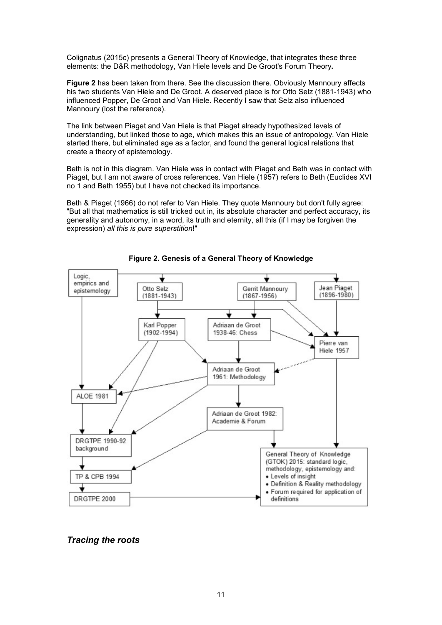Colignatus (2015c) presents a General Theory of Knowledge, that integrates these three elements: the D&R methodology, Van Hiele levels and De Groot's Forum Theory**.**

**Figure 2** has been taken from there. See the discussion there. Obviously Mannoury affects his two students Van Hiele and De Groot. A deserved place is for Otto Selz (1881-1943) who influenced Popper, De Groot and Van Hiele. Recently I saw that Selz also influenced Mannoury (lost the reference).

The link between Piaget and Van Hiele is that Piaget already hypothesized levels of understanding, but linked those to age, which makes this an issue of antropology. Van Hiele started there, but eliminated age as a factor, and found the general logical relations that create a theory of epistemology.

Beth is not in this diagram. Van Hiele was in contact with Piaget and Beth was in contact with Piaget, but I am not aware of cross references. Van Hiele (1957) refers to Beth (Euclides XVI no 1 and Beth 1955) but I have not checked its importance.

Beth & Piaget (1966) do not refer to Van Hiele. They quote Mannoury but don't fully agree: "But all that mathematics is still tricked out in, its absolute character and perfect accuracy, its generality and autonomy, in a word, its truth and eternity, all this (if I may be forgiven the expression) *all this is pure superstition*!"



**Figure 2. Genesis of a General Theory of Knowledge**

## *Tracing the roots*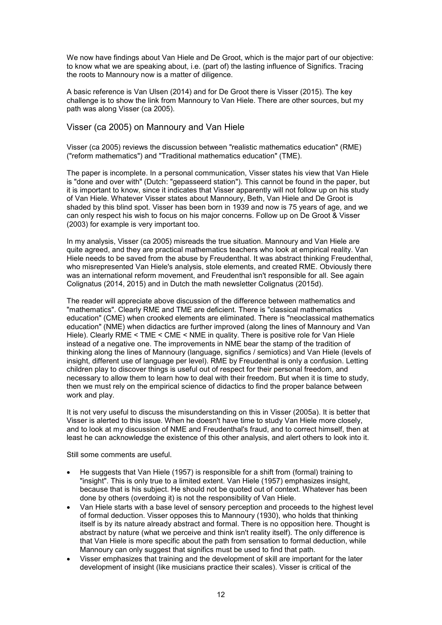We now have findings about Van Hiele and De Groot, which is the major part of our objective: to know what we are speaking about, i.e. (part of) the lasting influence of Significs. Tracing the roots to Mannoury now is a matter of diligence.

A basic reference is Van Ulsen (2014) and for De Groot there is Visser (2015). The key challenge is to show the link from Mannoury to Van Hiele. There are other sources, but my path was along Visser (ca 2005).

### Visser (ca 2005) on Mannoury and Van Hiele

Visser (ca 2005) reviews the discussion between "realistic mathematics education" (RME) ("reform mathematics") and "Traditional mathematics education" (TME).

The paper is incomplete. In a personal communication, Visser states his view that Van Hiele is "done and over with" (Dutch: "gepasseerd station"). This cannot be found in the paper, but it is important to know, since it indicates that Visser apparently will not follow up on his study of Van Hiele. Whatever Visser states about Mannoury, Beth, Van Hiele and De Groot is shaded by this blind spot. Visser has been born in 1939 and now is 75 years of age, and we can only respect his wish to focus on his major concerns. Follow up on De Groot & Visser (2003) for example is very important too.

In my analysis, Visser (ca 2005) misreads the true situation. Mannoury and Van Hiele are quite agreed, and they are practical mathematics teachers who look at empirical reality. Van Hiele needs to be saved from the abuse by Freudenthal. It was abstract thinking Freudenthal, who misrepresented Van Hiele's analysis, stole elements, and created RME. Obviously there was an international reform movement, and Freudenthal isn't responsible for all. See again Colignatus (2014, 2015) and in Dutch the math newsletter Colignatus (2015d).

The reader will appreciate above discussion of the difference between mathematics and "mathematics". Clearly RME and TME are deficient. There is "classical mathematics education" (CME) when crooked elements are eliminated. There is "neoclassical mathematics education" (NME) when didactics are further improved (along the lines of Mannoury and Van Hiele). Clearly RME < TME < CME < NME in quality. There is positive role for Van Hiele instead of a negative one. The improvements in NME bear the stamp of the tradition of thinking along the lines of Mannoury (language, significs / semiotics) and Van Hiele (levels of insight, different use of language per level). RME by Freudenthal is only a confusion. Letting children play to discover things is useful out of respect for their personal freedom, and necessary to allow them to learn how to deal with their freedom. But when it is time to study, then we must rely on the empirical science of didactics to find the proper balance between work and play.

It is not very useful to discuss the misunderstanding on this in Visser (2005a). It is better that Visser is alerted to this issue. When he doesn't have time to study Van Hiele more closely, and to look at my discussion of NME and Freudenthal's fraud, and to correct himself, then at least he can acknowledge the existence of this other analysis, and alert others to look into it.

Still some comments are useful.

- He suggests that Van Hiele (1957) is responsible for a shift from (formal) training to "insight". This is only true to a limited extent. Van Hiele (1957) emphasizes insight, because that is his subject. He should not be quoted out of context. Whatever has been done by others (overdoing it) is not the responsibility of Van Hiele.
- Van Hiele starts with a base level of sensory perception and proceeds to the highest level of formal deduction. Visser opposes this to Mannoury (1930), who holds that thinking itself is by its nature already abstract and formal. There is no opposition here. Thought is abstract by nature (what we perceive and think isn't reality itself). The only difference is that Van Hiele is more specific about the path from sensation to formal deduction, while Mannoury can only suggest that significs must be used to find that path.
- Visser emphasizes that training and the development of skill are important for the later development of insight (like musicians practice their scales). Visser is critical of the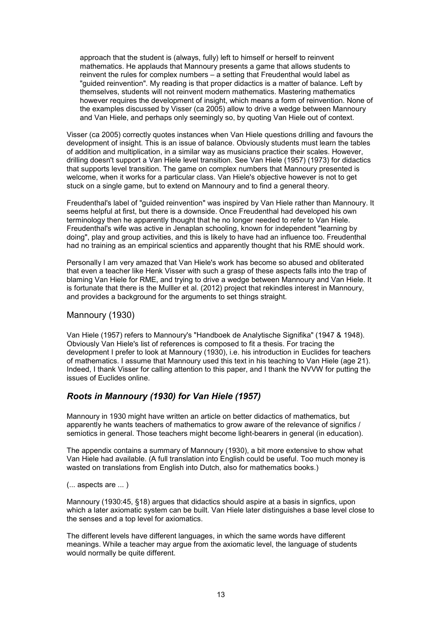approach that the student is (always, fully) left to himself or herself to reinvent mathematics. He applauds that Mannoury presents a game that allows students to reinvent the rules for complex numbers – a setting that Freudenthal would label as "guided reinvention". My reading is that proper didactics is a matter of balance. Left by themselves, students will not reinvent modern mathematics. Mastering mathematics however requires the development of insight, which means a form of reinvention. None of the examples discussed by Visser (ca 2005) allow to drive a wedge between Mannoury and Van Hiele, and perhaps only seemingly so, by quoting Van Hiele out of context.

Visser (ca 2005) correctly quotes instances when Van Hiele questions drilling and favours the development of insight. This is an issue of balance. Obviously students must learn the tables of addition and multiplication, in a similar way as musicians practice their scales. However, drilling doesn't support a Van Hiele level transition. See Van Hiele (1957) (1973) for didactics that supports level transition. The game on complex numbers that Mannoury presented is welcome, when it works for a particular class. Van Hiele's objective however is not to get stuck on a single game, but to extend on Mannoury and to find a general theory.

Freudenthal's label of "guided reinvention" was inspired by Van Hiele rather than Mannoury. It seems helpful at first, but there is a downside. Once Freudenthal had developed his own terminology then he apparently thought that he no longer needed to refer to Van Hiele. Freudenthal's wife was active in Jenaplan schooling, known for independent "learning by doing", play and group activities, and this is likely to have had an influence too. Freudenthal had no training as an empirical scientics and apparently thought that his RME should work.

Personally I am very amazed that Van Hiele's work has become so abused and obliterated that even a teacher like Henk Visser with such a grasp of these aspects falls into the trap of blaming Van Hiele for RME, and trying to drive a wedge between Mannoury and Van Hiele. It is fortunate that there is the Mulller et al. (2012) project that rekindles interest in Mannoury, and provides a background for the arguments to set things straight.

### Mannoury (1930)

Van Hiele (1957) refers to Mannoury's "Handboek de Analytische Signifika" (1947 & 1948). Obviously Van Hiele's list of references is composed to fit a thesis. For tracing the development I prefer to look at Mannoury (1930), i.e. his introduction in Euclides for teachers of mathematics. I assume that Mannoury used this text in his teaching to Van Hiele (age 21). Indeed, I thank Visser for calling attention to this paper, and I thank the NVVW for putting the issues of Euclides online.

## *Roots in Mannoury (1930) for Van Hiele (1957)*

Mannoury in 1930 might have written an article on better didactics of mathematics, but apparently he wants teachers of mathematics to grow aware of the relevance of significs / semiotics in general. Those teachers might become light-bearers in general (in education).

The appendix contains a summary of Mannoury (1930), a bit more extensive to show what Van Hiele had available. (A full translation into English could be useful. Too much money is wasted on translations from English into Dutch, also for mathematics books.)

(... aspects are ... )

Mannoury (1930:45, §18) argues that didactics should aspire at a basis in signfics, upon which a later axiomatic system can be built. Van Hiele later distinguishes a base level close to the senses and a top level for axiomatics.

The different levels have different languages, in which the same words have different meanings. While a teacher may argue from the axiomatic level, the language of students would normally be quite different.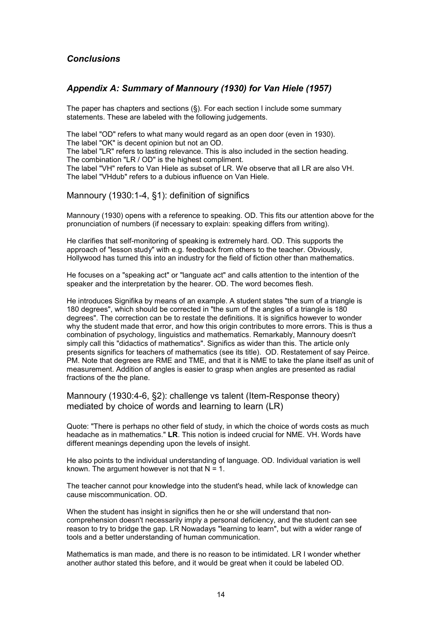## *Conclusions*

## *Appendix A: Summary of Mannoury (1930) for Van Hiele (1957)*

The paper has chapters and sections  $(\S)$ . For each section I include some summary statements. These are labeled with the following judgements.

The label "OD" refers to what many would regard as an open door (even in 1930). The label "OK" is decent opinion but not an OD.

The label "LR" refers to lasting relevance. This is also included in the section heading. The combination "LR / OD" is the highest compliment.

The label "VH" refers to Van Hiele as subset of LR. We observe that all LR are also VH. The label "VHdub" refers to a dubious influence on Van Hiele.

Mannoury (1930:1-4, §1): definition of significs

Mannoury (1930) opens with a reference to speaking. OD. This fits our attention above for the pronunciation of numbers (if necessary to explain: speaking differs from writing).

He clarifies that self-monitoring of speaking is extremely hard. OD. This supports the approach of "lesson study" with e.g. feedback from others to the teacher. Obviously, Hollywood has turned this into an industry for the field of fiction other than mathematics.

He focuses on a "speaking act" or "languate act" and calls attention to the intention of the speaker and the interpretation by the hearer. OD. The word becomes flesh.

He introduces Signifika by means of an example. A student states "the sum of a triangle is 180 degrees", which should be corrected in "the sum of the angles of a triangle is 180 degrees". The correction can be to restate the definitions. It is significs however to wonder why the student made that error, and how this origin contributes to more errors. This is thus a combination of psychology, linguistics and mathematics. Remarkably, Mannoury doesn't simply call this "didactics of mathematics". Significs as wider than this. The article only presents significs for teachers of mathematics (see its title). OD. Restatement of say Peirce. PM. Note that degrees are RME and TME, and that it is NME to take the plane itself as unit of measurement. Addition of angles is easier to grasp when angles are presented as radial fractions of the the plane.

Mannoury (1930:4-6, §2): challenge vs talent (Item-Response theory) mediated by choice of words and learning to learn (LR)

Quote: "There is perhaps no other field of study, in which the choice of words costs as much headache as in mathematics." **LR**. This notion is indeed crucial for NME. VH. Words have different meanings depending upon the levels of insight.

He also points to the individual understanding of language. OD. Individual variation is well known. The argument however is not that  $N = 1$ .

The teacher cannot pour knowledge into the student's head, while lack of knowledge can cause miscommunication. OD.

When the student has insight in significs then he or she will understand that noncomprehension doesn't necessarily imply a personal deficiency, and the student can see reason to try to bridge the gap. LR Nowadays "learning to learn", but with a wider range of tools and a better understanding of human communication.

Mathematics is man made, and there is no reason to be intimidated. LR I wonder whether another author stated this before, and it would be great when it could be labeled OD.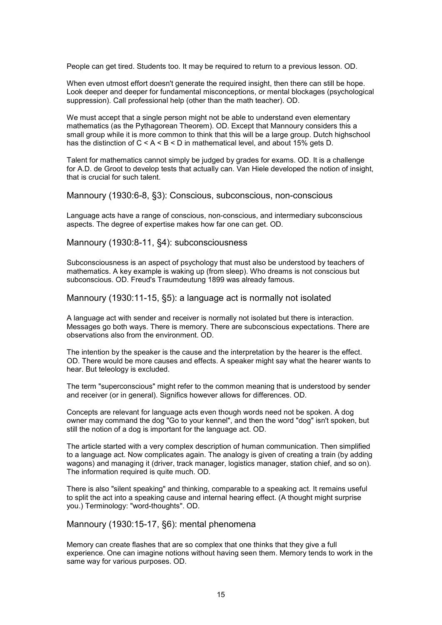People can get tired. Students too. It may be required to return to a previous lesson. OD.

When even utmost effort doesn't generate the required insight, then there can still be hope. Look deeper and deeper for fundamental misconceptions, or mental blockages (psychological suppression). Call professional help (other than the math teacher). OD.

We must accept that a single person might not be able to understand even elementary mathematics (as the Pythagorean Theorem). OD. Except that Mannoury considers this a small group while it is more common to think that this will be a large group. Dutch highschool has the distinction of  $C < A < B < D$  in mathematical level, and about 15% gets D.

Talent for mathematics cannot simply be judged by grades for exams. OD. It is a challenge for A.D. de Groot to develop tests that actually can. Van Hiele developed the notion of insight, that is crucial for such talent.

Mannoury (1930:6-8, §3): Conscious, subconscious, non-conscious

Language acts have a range of conscious, non-conscious, and intermediary subconscious aspects. The degree of expertise makes how far one can get. OD.

Mannoury (1930:8-11, §4): subconsciousness

Subconsciousness is an aspect of psychology that must also be understood by teachers of mathematics. A key example is waking up (from sleep). Who dreams is not conscious but subconscious. OD. Freud's Traumdeutung 1899 was already famous.

Mannoury (1930:11-15, §5): a language act is normally not isolated

A language act with sender and receiver is normally not isolated but there is interaction. Messages go both ways. There is memory. There are subconscious expectations. There are observations also from the environment. OD.

The intention by the speaker is the cause and the interpretation by the hearer is the effect. OD. There would be more causes and effects. A speaker might say what the hearer wants to hear. But teleology is excluded.

The term "superconscious" might refer to the common meaning that is understood by sender and receiver (or in general). Significs however allows for differences. OD.

Concepts are relevant for language acts even though words need not be spoken. A dog owner may command the dog "Go to your kennel", and then the word "dog" isn't spoken, but still the notion of a dog is important for the language act. OD.

The article started with a very complex description of human communication. Then simplified to a language act. Now complicates again. The analogy is given of creating a train (by adding wagons) and managing it (driver, track manager, logistics manager, station chief, and so on). The information required is quite much. OD.

There is also "silent speaking" and thinking, comparable to a speaking act. It remains useful to split the act into a speaking cause and internal hearing effect. (A thought might surprise you.) Terminology: "word-thoughts". OD.

Mannoury (1930:15-17, §6): mental phenomena

Memory can create flashes that are so complex that one thinks that they give a full experience. One can imagine notions without having seen them. Memory tends to work in the same way for various purposes. OD.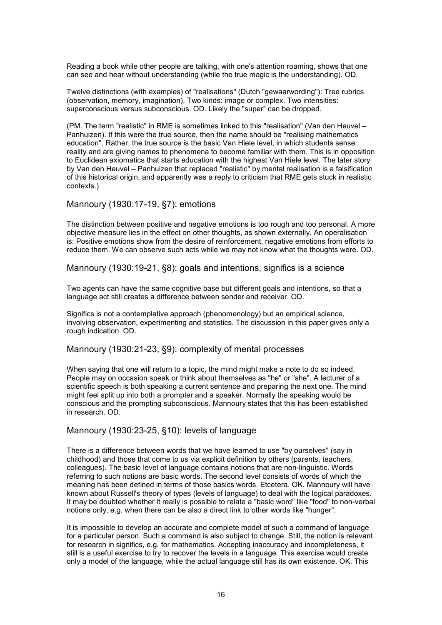Reading a book while other people are talking, with one's attention roaming, shows that one can see and hear without understanding (while the true magic is the understanding). OD.

Twelve distinctions (with examples) of "realisations" (Dutch "gewaarwording"): Tree rubrics (observation, memory, imagination), Two kinds: image or complex. Two intensities: superconscious versus subconscious. OD. Likely the "super" can be dropped.

(PM. The term "realistic" in RME is sometimes linked to this "realisation" (Van den Heuvel – Panhuizen). If this were the true source, then the name should be "realising mathematics education". Rather, the true source is the basic Van Hiele level, in which students sense reality and are giving names to phenomena to become familiar with them. This is in opposition to Euclidean axiomatics that starts education with the highest Van Hiele level. The later story by Van den Heuvel – Panhuizen that replaced "realistic" by mental realisation is a falsification of this historical origin, and apparently was a reply to criticism that RME gets stuck in realistic contexts.)

Mannoury (1930:17-19, §7): emotions

The distinction between positive and negative emotions is too rough and too personal. A more objective measure lies in the effect on other thoughts, as shown externally. An operalisation is: Positive emotions show from the desire of reinforcement, negative emotions from efforts to reduce them. We can observe such acts while we may not know what the thoughts were. OD.

Mannoury (1930:19-21, §8): goals and intentions, significs is a science

Two agents can have the same cognitive base but different goals and intentions, so that a language act still creates a difference between sender and receiver. OD.

Significs is not a contemplative approach (phenomenology) but an empirical science, involving observation, experimenting and statistics. The discussion in this paper gives only a rough indication. OD.

Mannoury (1930:21-23, §9): complexity of mental processes

When saying that one will return to a topic, the mind might make a note to do so indeed. People may on occasion speak or think about themselves as "he" or "she". A lecturer of a scientific speech is both speaking a current sentence and preparing the next one. The mind might feel split up into both a prompter and a speaker. Normally the speaking would be conscious and the prompting subconscious. Mannoury states that this has been established in research. OD.

Mannoury (1930:23-25, §10): levels of language

There is a difference between words that we have learned to use "by ourselves" (say in childhood) and those that come to us via explicit definition by others (parents, teachers, colleagues). The basic level of language contains notions that are non-linguistic. Words referring to such notions are basic words. The second level consists of words of which the meaning has been defined in terms of those basics words. Etcetera. OK. Mannoury will have known about Russell's theory of types (levels of language) to deal with the logical paradoxes. It may be doubted whether it really is possible to relate a "basic word" like "food" to non-verbal notions only, e.g. when there can be also a direct link to other words like "hunger".

It is impossible to develop an accurate and complete model of such a command of language for a particular person. Such a command is also subject to change. Still, the notion is relevant for research in significs, e.g. for mathematics. Accepting inaccuracy and incompleteness, it still is a useful exercise to try to recover the levels in a language. This exercise would create only a model of the language, while the actual language still has its own existence. OK. This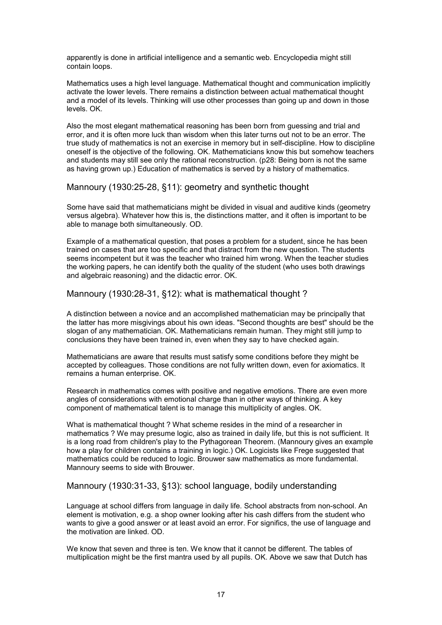apparently is done in artificial intelligence and a semantic web. Encyclopedia might still contain loops.

Mathematics uses a high level language. Mathematical thought and communication implicitly activate the lower levels. There remains a distinction between actual mathematical thought and a model of its levels. Thinking will use other processes than going up and down in those levels. OK.

Also the most elegant mathematical reasoning has been born from guessing and trial and error, and it is often more luck than wisdom when this later turns out not to be an error. The true study of mathematics is not an exercise in memory but in self-discipline. How to discipline oneself is the objective of the following. OK. Mathematicians know this but somehow teachers and students may still see only the rational reconstruction. (p28: Being born is not the same as having grown up.) Education of mathematics is served by a history of mathematics.

Mannoury (1930:25-28, §11): geometry and synthetic thought

Some have said that mathematicians might be divided in visual and auditive kinds (geometry versus algebra). Whatever how this is, the distinctions matter, and it often is important to be able to manage both simultaneously. OD.

Example of a mathematical question, that poses a problem for a student, since he has been trained on cases that are too specific and that distract from the new question. The students seems incompetent but it was the teacher who trained him wrong. When the teacher studies the working papers, he can identify both the quality of the student (who uses both drawings and algebraic reasoning) and the didactic error. OK.

Mannoury (1930:28-31, §12): what is mathematical thought ?

A distinction between a novice and an accomplished mathematician may be principally that the latter has more misgivings about his own ideas. "Second thoughts are best" should be the slogan of any mathematician. OK. Mathematicians remain human. They might still jump to conclusions they have been trained in, even when they say to have checked again.

Mathematicians are aware that results must satisfy some conditions before they might be accepted by colleagues. Those conditions are not fully written down, even for axiomatics. It remains a human enterprise. OK.

Research in mathematics comes with positive and negative emotions. There are even more angles of considerations with emotional charge than in other ways of thinking. A key component of mathematical talent is to manage this multiplicity of angles. OK.

What is mathematical thought ? What scheme resides in the mind of a researcher in mathematics ? We may presume logic, also as trained in daily life, but this is not sufficient. It is a long road from children's play to the Pythagorean Theorem. (Mannoury gives an example how a play for children contains a training in logic.) OK. Logicists like Frege suggested that mathematics could be reduced to logic. Brouwer saw mathematics as more fundamental. Mannoury seems to side with Brouwer.

Mannoury (1930:31-33, §13): school language, bodily understanding

Language at school differs from language in daily life. School abstracts from non-school. An element is motivation, e.g. a shop owner looking after his cash differs from the student who wants to give a good answer or at least avoid an error. For significs, the use of language and the motivation are linked. OD.

We know that seven and three is ten. We know that it cannot be different. The tables of multiplication might be the first mantra used by all pupils. OK. Above we saw that Dutch has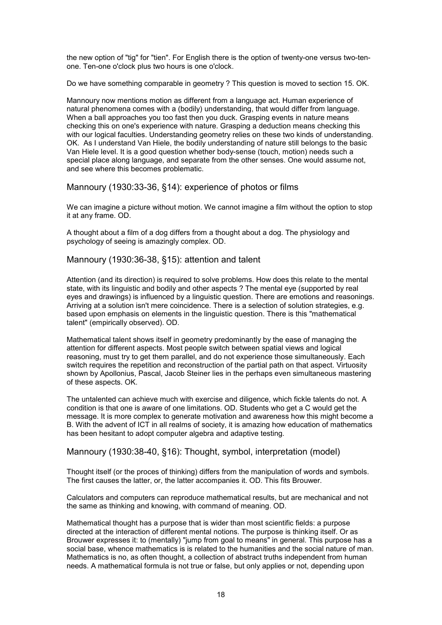the new option of "tig" for "tien". For English there is the option of twenty-one versus two-tenone. Ten-one o'clock plus two hours is one o'clock.

Do we have something comparable in geometry ? This question is moved to section 15. OK.

Mannoury now mentions motion as different from a language act. Human experience of natural phenomena comes with a (bodily) understanding, that would differ from language. When a ball approaches you too fast then you duck. Grasping events in nature means checking this on one's experience with nature. Grasping a deduction means checking this with our logical faculties. Understanding geometry relies on these two kinds of understanding. OK. As I understand Van Hiele, the bodily understanding of nature still belongs to the basic Van Hiele level. It is a good question whether body-sense (touch, motion) needs such a special place along language, and separate from the other senses. One would assume not, and see where this becomes problematic.

Mannoury (1930:33-36, §14): experience of photos or films

We can imagine a picture without motion. We cannot imagine a film without the option to stop it at any frame. OD.

A thought about a film of a dog differs from a thought about a dog. The physiology and psychology of seeing is amazingly complex. OD.

Mannoury (1930:36-38, §15): attention and talent

Attention (and its direction) is required to solve problems. How does this relate to the mental state, with its linguistic and bodily and other aspects ? The mental eye (supported by real eyes and drawings) is influenced by a linguistic question. There are emotions and reasonings. Arriving at a solution isn't mere coincidence. There is a selection of solution strategies, e.g. based upon emphasis on elements in the linguistic question. There is this "mathematical talent" (empirically observed). OD.

Mathematical talent shows itself in geometry predominantly by the ease of managing the attention for different aspects. Most people switch between spatial views and logical reasoning, must try to get them parallel, and do not experience those simultaneously. Each switch requires the repetition and reconstruction of the partial path on that aspect. Virtuosity shown by Apollonius, Pascal, Jacob Steiner lies in the perhaps even simultaneous mastering of these aspects. OK.

The untalented can achieve much with exercise and diligence, which fickle talents do not. A condition is that one is aware of one limitations. OD. Students who get a C would get the message. It is more complex to generate motivation and awareness how this might become a B. With the advent of ICT in all realms of society, it is amazing how education of mathematics has been hesitant to adopt computer algebra and adaptive testing.

Mannoury (1930:38-40, §16): Thought, symbol, interpretation (model)

Thought itself (or the proces of thinking) differs from the manipulation of words and symbols. The first causes the latter, or, the latter accompanies it. OD. This fits Brouwer.

Calculators and computers can reproduce mathematical results, but are mechanical and not the same as thinking and knowing, with command of meaning. OD.

Mathematical thought has a purpose that is wider than most scientific fields: a purpose directed at the interaction of different mental notions. The purpose is thinking itself. Or as Brouwer expresses it: to (mentally) "jump from goal to means" in general. This purpose has a social base, whence mathematics is is related to the humanities and the social nature of man. Mathematics is no, as often thought, a collection of abstract truths independent from human needs. A mathematical formula is not true or false, but only applies or not, depending upon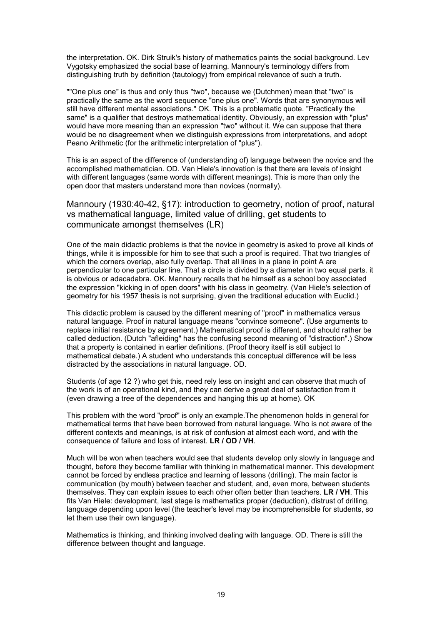the interpretation. OK. Dirk Struik's history of mathematics paints the social background. Lev Vygotsky emphasized the social base of learning. Mannoury's terminology differs from distinguishing truth by definition (tautology) from empirical relevance of such a truth.

""One plus one" is thus and only thus "two", because we (Dutchmen) mean that "two" is practically the same as the word sequence "one plus one". Words that are synonymous will still have different mental associations." OK. This is a problematic quote. "Practically the same" is a qualifier that destroys mathematical identity. Obviously, an expression with "plus" would have more meaning than an expression "two" without it. We can suppose that there would be no disagreement when we distinguish expressions from interpretations, and adopt Peano Arithmetic (for the arithmetic interpretation of "plus").

This is an aspect of the difference of (understanding of) language between the novice and the accomplished mathematician. OD. Van Hiele's innovation is that there are levels of insight with different languages (same words with different meanings). This is more than only the open door that masters understand more than novices (normally).

Mannoury (1930:40-42, §17): introduction to geometry, notion of proof, natural vs mathematical language, limited value of drilling, get students to communicate amongst themselves (LR)

One of the main didactic problems is that the novice in geometry is asked to prove all kinds of things, while it is impossible for him to see that such a proof is required. That two triangles of which the corners overlap, also fully overlap. That all lines in a plane in point A are perpendicular to one particular line. That a circle is divided by a diameter in two equal parts. it is obvious or adacadabra. OK. Mannoury recalls that he himself as a school boy associated the expression "kicking in of open doors" with his class in geometry. (Van Hiele's selection of geometry for his 1957 thesis is not surprising, given the traditional education with Euclid.)

This didactic problem is caused by the different meaning of "proof" in mathematics versus natural language. Proof in natural language means "convince someone". (Use arguments to replace initial resistance by agreement.) Mathematical proof is different, and should rather be called deduction. (Dutch "afleiding" has the confusing second meaning of "distraction".) Show that a property is contained in earlier definitions. (Proof theory itself is still subject to mathematical debate.) A student who understands this conceptual difference will be less distracted by the associations in natural language. OD.

Students (of age 12 ?) who get this, need rely less on insight and can observe that much of the work is of an operational kind, and they can derive a great deal of satisfaction from it (even drawing a tree of the dependences and hanging this up at home). OK

This problem with the word "proof" is only an example.The phenomenon holds in general for mathematical terms that have been borrowed from natural language. Who is not aware of the different contexts and meanings, is at risk of confusion at almost each word, and with the consequence of failure and loss of interest. **LR / OD / VH**.

Much will be won when teachers would see that students develop only slowly in language and thought, before they become familiar with thinking in mathematical manner. This development cannot be forced by endless practice and learning of lessons (drilling). The main factor is communication (by mouth) between teacher and student, and, even more, between students themselves. They can explain issues to each other often better than teachers. **LR / VH**. This fits Van Hiele: development, last stage is mathematics proper (deduction), distrust of drilling, language depending upon level (the teacher's level may be incomprehensible for students, so let them use their own language).

Mathematics is thinking, and thinking involved dealing with language. OD. There is still the difference between thought and language.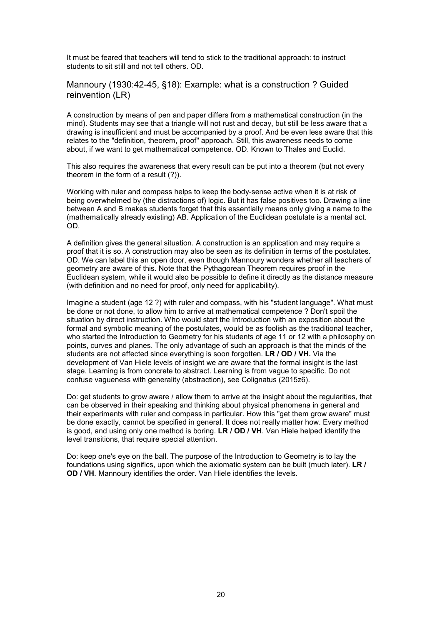It must be feared that teachers will tend to stick to the traditional approach: to instruct students to sit still and not tell others. OD.

Mannoury (1930:42-45, §18): Example: what is a construction ? Guided reinvention (LR)

A construction by means of pen and paper differs from a mathematical construction (in the mind). Students may see that a triangle will not rust and decay, but still be less aware that a drawing is insufficient and must be accompanied by a proof. And be even less aware that this relates to the "definition, theorem, proof" approach. Still, this awareness needs to come about, if we want to get mathematical competence. OD. Known to Thales and Euclid.

This also requires the awareness that every result can be put into a theorem (but not every theorem in the form of a result (?)).

Working with ruler and compass helps to keep the body-sense active when it is at risk of being overwhelmed by (the distractions of) logic. But it has false positives too. Drawing a line between A and B makes students forget that this essentially means only giving a name to the (mathematically already existing) AB. Application of the Euclidean postulate is a mental act. OD.

A definition gives the general situation. A construction is an application and may require a proof that it is so. A construction may also be seen as its definition in terms of the postulates. OD. We can label this an open door, even though Mannoury wonders whether all teachers of geometry are aware of this. Note that the Pythagorean Theorem requires proof in the Euclidean system, while it would also be possible to define it directly as the distance measure (with definition and no need for proof, only need for applicability).

Imagine a student (age 12 ?) with ruler and compass, with his "student language". What must be done or not done, to allow him to arrive at mathematical competence ? Don't spoil the situation by direct instruction. Who would start the Introduction with an exposition about the formal and symbolic meaning of the postulates, would be as foolish as the traditional teacher, who started the Introduction to Geometry for his students of age 11 or 12 with a philosophy on points, curves and planes. The only advantage of such an approach is that the minds of the students are not affected since everything is soon forgotten. **LR / OD / VH.** Via the development of Van Hiele levels of insight we are aware that the formal insight is the last stage. Learning is from concrete to abstract. Learning is from vague to specific. Do not confuse vagueness with generality (abstraction), see Colignatus (2015z6).

Do: get students to grow aware / allow them to arrive at the insight about the regularities, that can be observed in their speaking and thinking about physical phenomena in general and their experiments with ruler and compass in particular. How this "get them grow aware" must be done exactly, cannot be specified in general. It does not really matter how. Every method is good, and using only one method is boring. **LR / OD / VH**. Van Hiele helped identify the level transitions, that require special attention.

Do: keep one's eye on the ball. The purpose of the Introduction to Geometry is to lay the foundations using significs, upon which the axiomatic system can be built (much later). **LR / OD / VH**. Mannoury identifies the order. Van Hiele identifies the levels.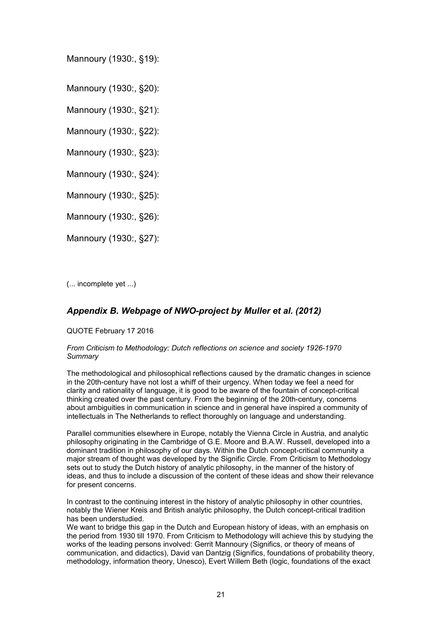Mannoury (1930:, §19):

Mannoury (1930:, §20):

Mannoury (1930:, §21):

Mannoury (1930:, §22):

Mannoury (1930:, §23):

Mannoury (1930:, §24):

Mannoury (1930:, §25):

Mannoury (1930:, §26):

Mannoury (1930:, §27):

(... incomplete yet ...)

## *Appendix B. Webpage of NWO-project by Muller et al. (2012)*

QUOTE February 17 2016

#### *From Criticism to Methodology: Dutch reflections on science and society 1926-1970 Summary*

The methodological and philosophical reflections caused by the dramatic changes in science in the 20th-century have not lost a whiff of their urgency. When today we feel a need for clarity and rationality of language, it is good to be aware of the fountain of concept-critical thinking created over the past century. From the beginning of the 20th-century, concerns about ambiguities in communication in science and in general have inspired a community of intellectuals in The Netherlands to reflect thoroughly on language and understanding.

Parallel communities elsewhere in Europe, notably the Vienna Circle in Austria, and analytic philosophy originating in the Cambridge of G.E. Moore and B.A.W. Russell, developed into a dominant tradition in philosophy of our days. Within the Dutch concept-critical community a major stream of thought was developed by the Signific Circle. From Criticism to Methodology sets out to study the Dutch history of analytic philosophy, in the manner of the history of ideas, and thus to include a discussion of the content of these ideas and show their relevance for present concerns.

In contrast to the continuing interest in the history of analytic philosophy in other countries, notably the Wiener Kreis and British analytic philosophy, the Dutch concept-critical tradition has been understudied.

We want to bridge this gap in the Dutch and European history of ideas, with an emphasis on the period from 1930 till 1970. From Criticism to Methodology will achieve this by studying the works of the leading persons involved: Gerrit Mannoury (Significs, or theory of means of communication, and didactics), David van Dantzig (Significs, foundations of probability theory, methodology, information theory, Unesco), Evert Willem Beth (logic, foundations of the exact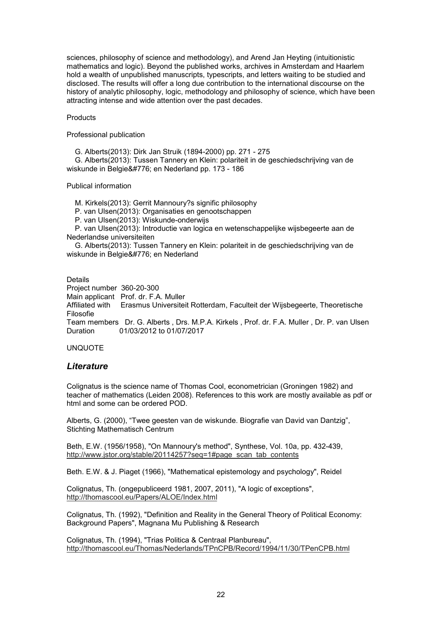sciences, philosophy of science and methodology), and Arend Jan Heyting (intuitionistic mathematics and logic). Beyond the published works, archives in Amsterdam and Haarlem hold a wealth of unpublished manuscripts, typescripts, and letters waiting to be studied and disclosed. The results will offer a long due contribution to the international discourse on the history of analytic philosophy, logic, methodology and philosophy of science, which have been attracting intense and wide attention over the past decades.

#### **Products**

Professional publication

G. Alberts(2013): Dirk Jan Struik (1894-2000) pp. 271 - 275

 G. Alberts(2013): Tussen Tannery en Klein: polariteit in de geschiedschrijving van de wiskunde in Belgie ̈ en Nederland pp. 173 - 186

#### Publical information

M. Kirkels(2013): Gerrit Mannoury?s signific philosophy

P. van Ulsen(2013): Organisaties en genootschappen

P. van Ulsen(2013): Wiskunde-onderwijs

 P. van Ulsen(2013): Introductie van logica en wetenschappelijke wijsbegeerte aan de Nederlandse universiteiten

 G. Alberts(2013): Tussen Tannery en Klein: polariteit in de geschiedschrijving van de wiskunde in Belgie ̈ en Nederland

Details Project number 360-20-300 Main applicant Prof. dr. F.A. Muller Affiliated with Erasmus Universiteit Rotterdam, Faculteit der Wijsbegeerte, Theoretische Filosofie Team members Dr. G. Alberts , Drs. M.P.A. Kirkels , Prof. dr. F.A. Muller , Dr. P. van Ulsen<br>Duration 01/03/2012 to 01/07/2017 01/03/2012 to 01/07/2017

### UNQUOTE

## *Literature*

Colignatus is the science name of Thomas Cool, econometrician (Groningen 1982) and teacher of mathematics (Leiden 2008). References to this work are mostly available as pdf or html and some can be ordered POD.

Alberts, G. (2000), "Twee geesten van de wiskunde. Biografie van David van Dantzig", Stichting Mathematisch Centrum

Beth, E.W. (1956/1958), "On Mannoury's method", Synthese, Vol. 10a, pp. 432-439, http://www.jstor.org/stable/20114257?seq=1#page\_scan\_tab\_contents

Beth. E.W. & J. Piaget (1966), "Mathematical epistemology and psychology", Reidel

Colignatus, Th. (ongepubliceerd 1981, 2007, 2011), "A logic of exceptions", http://thomascool.eu/Papers/ALOE/Index.html

Colignatus, Th. (1992), "Definition and Reality in the General Theory of Political Economy: Background Papers", Magnana Mu Publishing & Research

Colignatus, Th. (1994), "Trias Politica & Centraal Planbureau", http://thomascool.eu/Thomas/Nederlands/TPnCPB/Record/1994/11/30/TPenCPB.html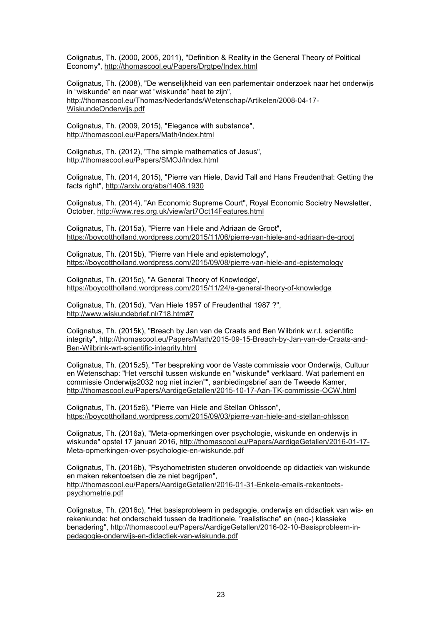Colignatus, Th. (2000, 2005, 2011), "Definition & Reality in the General Theory of Political Economy", http://thomascool.eu/Papers/Drgtpe/Index.html

Colignatus, Th. (2008), "De wenselijkheid van een parlementair onderzoek naar het onderwijs in "wiskunde" en naar wat "wiskunde" heet te zijn", http://thomascool.eu/Thomas/Nederlands/Wetenschap/Artikelen/2008-04-17- WiskundeOnderwijs.pdf

Colignatus, Th. (2009, 2015), "Elegance with substance", http://thomascool.eu/Papers/Math/Index.html

Colignatus, Th. (2012), "The simple mathematics of Jesus", http://thomascool.eu/Papers/SMOJ/Index.html

Colignatus, Th. (2014, 2015), "Pierre van Hiele, David Tall and Hans Freudenthal: Getting the facts right", http://arxiv.org/abs/1408.1930

Colignatus, Th. (2014), "An Economic Supreme Court", Royal Economic Societry Newsletter, October, http://www.res.org.uk/view/art7Oct14Features.html

Colignatus, Th. (2015a), "Pierre van Hiele and Adriaan de Groot", https://boycottholland.wordpress.com/2015/11/06/pierre-van-hiele-and-adriaan-de-groot

Colignatus, Th. (2015b), "Pierre van Hiele and epistemology", https://boycottholland.wordpress.com/2015/09/08/pierre-van-hiele-and-epistemology

Colignatus, Th. (2015c), "A General Theory of Knowledge', https://boycottholland.wordpress.com/2015/11/24/a-general-theory-of-knowledge

Colignatus, Th. (2015d), "Van Hiele 1957 of Freudenthal 1987 ?", http://www.wiskundebrief.nl/718.htm#7

Colignatus, Th. (2015k), "Breach by Jan van de Craats and Ben Wilbrink w.r.t. scientific integrity", http://thomascool.eu/Papers/Math/2015-09-15-Breach-by-Jan-van-de-Craats-and-Ben-Wilbrink-wrt-scientific-integrity.html

Colignatus, Th. (2015z5), "Ter bespreking voor de Vaste commissie voor Onderwijs, Cultuur en Wetenschap: "Het verschil tussen wiskunde en "wiskunde" verklaard. Wat parlement en commissie Onderwijs2032 nog niet inzien"", aanbiedingsbrief aan de Tweede Kamer, http://thomascool.eu/Papers/AardigeGetallen/2015-10-17-Aan-TK-commissie-OCW.html

Colignatus, Th. (2015z6), "Pierre van Hiele and Stellan Ohlsson", https://boycottholland.wordpress.com/2015/09/03/pierre-van-hiele-and-stellan-ohlsson

Colignatus, Th. (2016a), "Meta-opmerkingen over psychologie, wiskunde en onderwijs in wiskunde" opstel 17 januari 2016, http://thomascool.eu/Papers/AardigeGetallen/2016-01-17- Meta-opmerkingen-over-psychologie-en-wiskunde.pdf

Colignatus, Th. (2016b), "Psychometristen studeren onvoldoende op didactiek van wiskunde en maken rekentoetsen die ze niet begrijpen", http://thomascool.eu/Papers/AardigeGetallen/2016-01-31-Enkele-emails-rekentoetspsychometrie.pdf

Colignatus, Th. (2016c), "Het basisprobleem in pedagogie, onderwijs en didactiek van wis- en rekenkunde: het onderscheid tussen de traditionele, "realistische" en (neo-) klassieke benadering", http://thomascool.eu/Papers/AardigeGetallen/2016-02-10-Basisprobleem-inpedagogie-onderwijs-en-didactiek-van-wiskunde.pdf